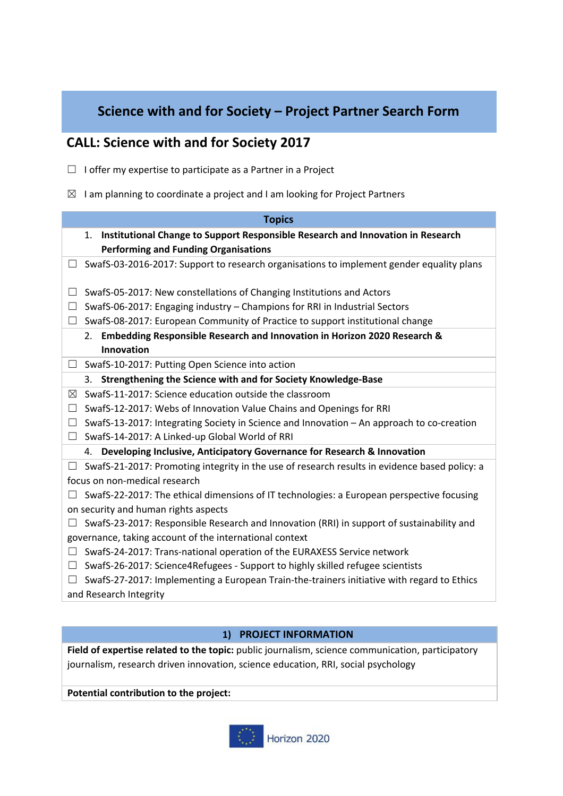## **Science with and for Society – Project Partner Search Form**

# **CALL: Science with and for Society 2017**

- ☐ I offer my expertise to participate as a Partner in a Project
- $\boxtimes$  I am planning to coordinate a project and I am looking for Project Partners

| <b>Topics</b>                                                                                       |
|-----------------------------------------------------------------------------------------------------|
| Institutional Change to Support Responsible Research and Innovation in Research<br>1.               |
| <b>Performing and Funding Organisations</b>                                                         |
| SwafS-03-2016-2017: Support to research organisations to implement gender equality plans<br>$\Box$  |
|                                                                                                     |
| SwafS-05-2017: New constellations of Changing Institutions and Actors<br>$\Box$                     |
| SwafS-06-2017: Engaging industry - Champions for RRI in Industrial Sectors<br>$\Box$                |
| SwafS-08-2017: European Community of Practice to support institutional change<br>$\Box$             |
| 2. Embedding Responsible Research and Innovation in Horizon 2020 Research &                         |
| Innovation                                                                                          |
| SwafS-10-2017: Putting Open Science into action<br>$\Box$                                           |
| Strengthening the Science with and for Society Knowledge-Base<br>3.                                 |
| SwafS-11-2017: Science education outside the classroom<br>⊠                                         |
| SwafS-12-2017: Webs of Innovation Value Chains and Openings for RRI<br>⊔                            |
| SwafS-13-2017: Integrating Society in Science and Innovation - An approach to co-creation<br>$\Box$ |
| SwafS-14-2017: A Linked-up Global World of RRI<br>$\Box$                                            |
| Developing Inclusive, Anticipatory Governance for Research & Innovation<br>4.                       |
| SwafS-21-2017: Promoting integrity in the use of research results in evidence based policy: a<br>Ш  |
| focus on non-medical research                                                                       |
| SwafS-22-2017: The ethical dimensions of IT technologies: a European perspective focusing           |
| on security and human rights aspects                                                                |
| SwafS-23-2017: Responsible Research and Innovation (RRI) in support of sustainability and           |
| governance, taking account of the international context                                             |
| SwafS-24-2017: Trans-national operation of the EURAXESS Service network<br>$\Box$                   |
| SwafS-26-2017: Science4Refugees - Support to highly skilled refugee scientists<br>⊔                 |
| SwafS-27-2017: Implementing a European Train-the-trainers initiative with regard to Ethics          |
| and Research Integrity                                                                              |

#### **1) PROJECT INFORMATION**

**Field of expertise related to the topic:** public journalism, science communication, participatory journalism, research driven innovation, science education, RRI, social psychology

**Potential contribution to the project:**

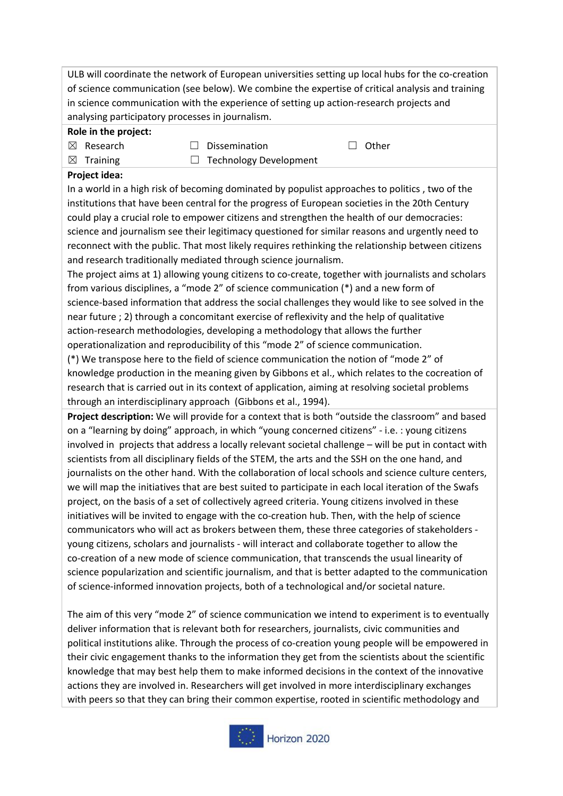ULB will coordinate the network of European universities setting up local hubs for the co-creation of science communication (see below). We combine the expertise of critical analysis and training in science communication with the experience of setting up action-research projects and analysing participatory processes in journalism.

#### **Role in the project:**

- ☒ Research ☐ Dissemination ☐ Other
- $\boxtimes$  Training  $\Box$  Technology Development
- 
- 

## **Project idea:**

In a world in a high risk of becoming dominated by populist approaches to politics , two of the institutions that have been central for the progress of European societies in the 20th Century could play a crucial role to empower citizens and strengthen the health of our democracies: science and journalism see their legitimacy questioned for similar reasons and urgently need to reconnect with the public. That most likely requires rethinking the relationship between citizens and research traditionally mediated through science journalism.

The project aims at 1) allowing young citizens to co-create, together with journalists and scholars from various disciplines, a "mode 2" of science communication (\*) and a new form of science-based information that address the social challenges they would like to see solved in the near future ; 2) through a concomitant exercise of reflexivity and the help of qualitative action-research methodologies, developing a methodology that allows the further operationalization and reproducibility of this "mode 2" of science communication.

(\*) We transpose here to the field of science communication the notion of "mode 2" of knowledge production in the meaning given by Gibbons et al., which relates to the cocreation of research that is carried out in its context of application, aiming at resolving societal problems through an interdisciplinary approach (Gibbons et al., 1994).

**Project description:** We will provide for a context that is both "outside the classroom" and based on a "learning by doing" approach, in which "young concerned citizens" - i.e. : young citizens involved in projects that address a locally relevant societal challenge – will be put in contact with scientists from all disciplinary fields of the STEM, the arts and the SSH on the one hand, and journalists on the other hand. With the collaboration of local schools and science culture centers, we will map the initiatives that are best suited to participate in each local iteration of the Swafs project, on the basis of a set of collectively agreed criteria. Young citizens involved in these initiatives will be invited to engage with the co-creation hub. Then, with the help of science communicators who will act as brokers between them, these three categories of stakeholders young citizens, scholars and journalists - will interact and collaborate together to allow the co-creation of a new mode of science communication, that transcends the usual linearity of science popularization and scientific journalism, and that is better adapted to the communication of science-informed innovation projects, both of a technological and/or societal nature.

The aim of this very "mode 2" of science communication we intend to experiment is to eventually deliver information that is relevant both for researchers, journalists, civic communities and political institutions alike. Through the process of co-creation young people will be empowered in their civic engagement thanks to the information they get from the scientists about the scientific knowledge that may best help them to make informed decisions in the context of the innovative actions they are involved in. Researchers will get involved in more interdisciplinary exchanges with peers so that they can bring their common expertise, rooted in scientific methodology and

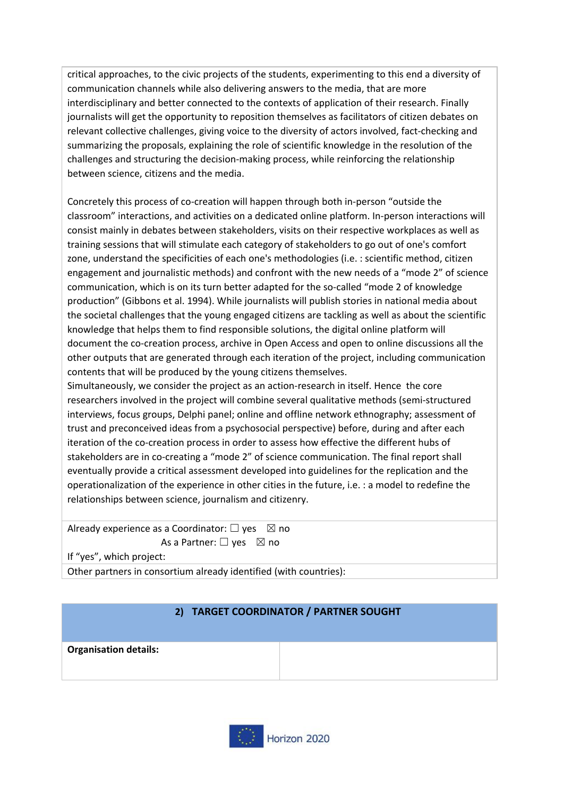critical approaches, to the civic projects of the students, experimenting to this end a diversity of communication channels while also delivering answers to the media, that are more interdisciplinary and better connected to the contexts of application of their research. Finally journalists will get the opportunity to reposition themselves as facilitators of citizen debates on relevant collective challenges, giving voice to the diversity of actors involved, fact-checking and summarizing the proposals, explaining the role of scientific knowledge in the resolution of the challenges and structuring the decision-making process, while reinforcing the relationship between science, citizens and the media.

Concretely this process of co-creation will happen through both in-person "outside the classroom" interactions, and activities on a dedicated online platform. In-person interactions will consist mainly in debates between stakeholders, visits on their respective workplaces as well as training sessions that will stimulate each category of stakeholders to go out of one's comfort zone, understand the specificities of each one's methodologies (i.e. : scientific method, citizen engagement and journalistic methods) and confront with the new needs of a "mode 2" of science communication, which is on its turn better adapted for the so-called "mode 2 of knowledge production" (Gibbons et al. 1994). While journalists will publish stories in national media about the societal challenges that the young engaged citizens are tackling as well as about the scientific knowledge that helps them to find responsible solutions, the digital online platform will document the co-creation process, archive in Open Access and open to online discussions all the other outputs that are generated through each iteration of the project, including communication contents that will be produced by the young citizens themselves.

Simultaneously, we consider the project as an action-research in itself. Hence the core researchers involved in the project will combine several qualitative methods (semi-structured interviews, focus groups, Delphi panel; online and offline network ethnography; assessment of trust and preconceived ideas from a psychosocial perspective) before, during and after each iteration of the co-creation process in order to assess how effective the different hubs of stakeholders are in co-creating a "mode 2" of science communication. The final report shall eventually provide a critical assessment developed into guidelines for the replication and the operationalization of the experience in other cities in the future, i.e. : a model to redefine the relationships between science, journalism and citizenry.

Already experience as a Coordinator:  $\Box$  yes  $\boxtimes$  no As a Partner:  $\Box$  yes  $\boxtimes$  no

If "yes", which project:

Other partners in consortium already identified (with countries):

### **2) TARGET COORDINATOR / PARTNER SOUGHT**

**Organisation details:**

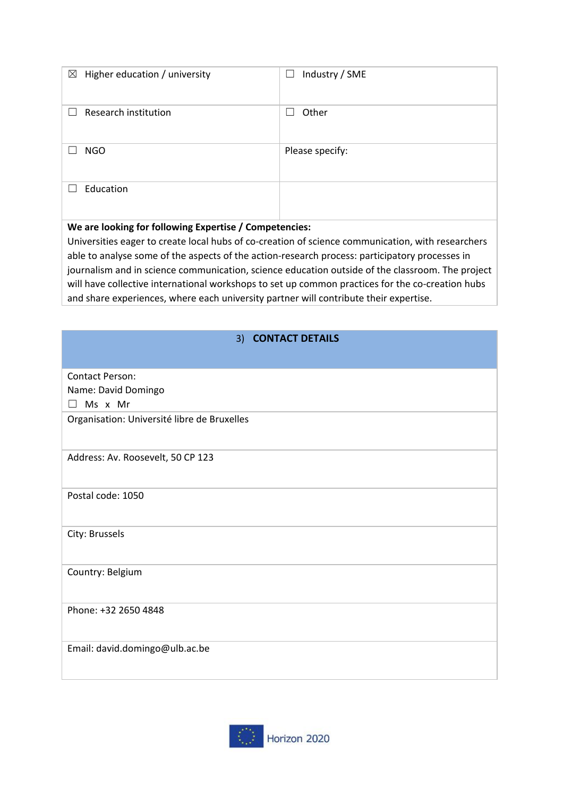| $\boxtimes$<br>Higher education / university           | Industry / SME<br>$\overline{\phantom{a}}$ |
|--------------------------------------------------------|--------------------------------------------|
| Research institution                                   | Other                                      |
| <b>NGO</b>                                             | Please specify:                            |
| Education                                              |                                            |
| We are looking for following Expertise / Competencies: |                                            |

Universities eager to create local hubs of co-creation of science communication, with researchers able to analyse some of the aspects of the action-research process: participatory processes in journalism and in science communication, science education outside of the classroom. The project will have collective international workshops to set up common practices for the co-creation hubs and share experiences, where each university partner will contribute their expertise.

| 3)<br><b>CONTACT DETAILS</b>                |
|---------------------------------------------|
|                                             |
|                                             |
| <b>Contact Person:</b>                      |
| Name: David Domingo                         |
| Ms x Mr<br>$\Box$                           |
| Organisation: Université libre de Bruxelles |
|                                             |
|                                             |
| Address: Av. Roosevelt, 50 CP 123           |
|                                             |
| Postal code: 1050                           |
|                                             |
|                                             |
| City: Brussels                              |
|                                             |
| Country: Belgium                            |
|                                             |
|                                             |
| Phone: +32 2650 4848                        |
|                                             |
| Email: david.domingo@ulb.ac.be              |
|                                             |
|                                             |